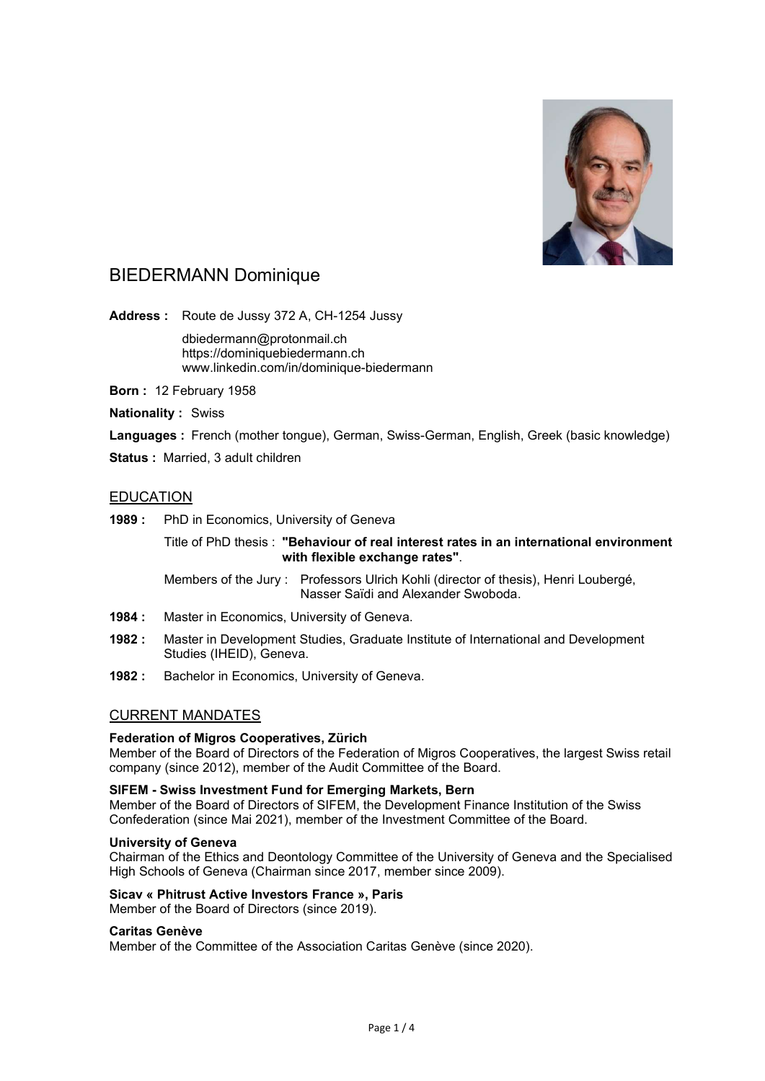

# BIEDERMANN Dominique

Address : Route de Jussy 372 A, CH-1254 Jussy

 dbiedermann@protonmail.ch https://dominiquebiedermann.ch www.linkedin.com/in/dominique-biedermann

- Born : 12 February 1958
- **Nationality : Swiss**

Languages : French (mother tongue), German, Swiss-German, English, Greek (basic knowledge)

Status : Married, 3 adult children

# EDUCATION

1989 : PhD in Economics, University of Geneva

 Title of PhD thesis : "Behaviour of real interest rates in an international environment with flexible exchange rates".

 Members of the Jury : Professors Ulrich Kohli (director of thesis), Henri Loubergé, Nasser Saïdi and Alexander Swoboda.

- 1984 : Master in Economics, University of Geneva.
- 1982 : Master in Development Studies, Graduate Institute of International and Development Studies (IHEID), Geneva.
- 1982 : Bachelor in Economics, University of Geneva.

# CURRENT MANDATES

# Federation of Migros Cooperatives, Zürich

Member of the Board of Directors of the Federation of Migros Cooperatives, the largest Swiss retail company (since 2012), member of the Audit Committee of the Board.

# SIFEM - Swiss Investment Fund for Emerging Markets, Bern

Member of the Board of Directors of SIFEM, the Development Finance Institution of the Swiss Confederation (since Mai 2021), member of the Investment Committee of the Board.

# University of Geneva

Chairman of the Ethics and Deontology Committee of the University of Geneva and the Specialised High Schools of Geneva (Chairman since 2017, member since 2009).

# Sicav « Phitrust Active Investors France », Paris

Member of the Board of Directors (since 2019).

# Caritas Genève

Member of the Committee of the Association Caritas Genève (since 2020).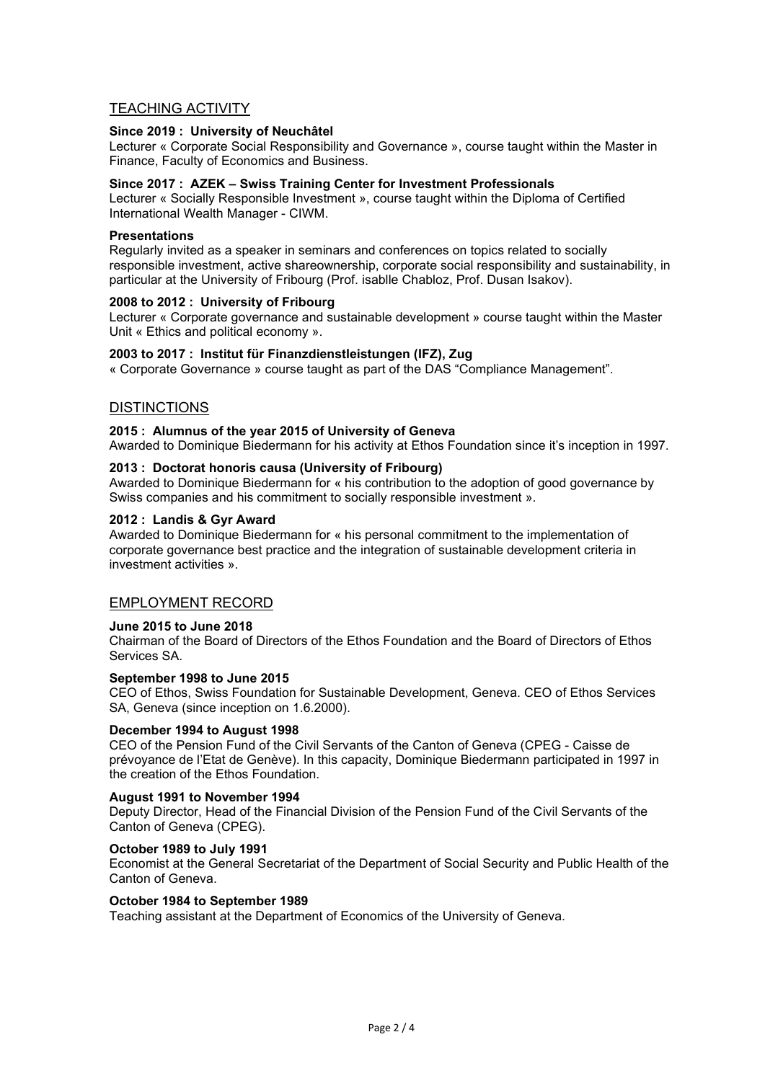# TEACHING ACTIVITY

# Since 2019 : University of Neuchâtel

Lecturer « Corporate Social Responsibility and Governance », course taught within the Master in Finance, Faculty of Economics and Business.

# Since 2017 : AZEK – Swiss Training Center for Investment Professionals

Lecturer « Socially Responsible Investment », course taught within the Diploma of Certified International Wealth Manager - CIWM.

### **Presentations**

Regularly invited as a speaker in seminars and conferences on topics related to socially responsible investment, active shareownership, corporate social responsibility and sustainability, in particular at the University of Fribourg (Prof. isablle Chabloz, Prof. Dusan Isakov).

# 2008 to 2012 : University of Fribourg

Lecturer « Corporate governance and sustainable development » course taught within the Master Unit « Ethics and political economy ».

# 2003 to 2017 : Institut für Finanzdienstleistungen (IFZ), Zug

« Corporate Governance » course taught as part of the DAS "Compliance Management".

# **DISTINCTIONS**

### 2015 : Alumnus of the year 2015 of University of Geneva

Awarded to Dominique Biedermann for his activity at Ethos Foundation since it's inception in 1997.

### 2013 : Doctorat honoris causa (University of Fribourg)

Awarded to Dominique Biedermann for « his contribution to the adoption of good governance by Swiss companies and his commitment to socially responsible investment ».

### 2012 : Landis & Gyr Award

Awarded to Dominique Biedermann for « his personal commitment to the implementation of corporate governance best practice and the integration of sustainable development criteria in investment activities ».

# EMPLOYMENT RECORD

# June 2015 to June 2018

Chairman of the Board of Directors of the Ethos Foundation and the Board of Directors of Ethos Services SA.

# September 1998 to June 2015

CEO of Ethos, Swiss Foundation for Sustainable Development, Geneva. CEO of Ethos Services SA, Geneva (since inception on 1.6.2000).

#### December 1994 to August 1998

CEO of the Pension Fund of the Civil Servants of the Canton of Geneva (CPEG - Caisse de prévoyance de l'Etat de Genève). In this capacity, Dominique Biedermann participated in 1997 in the creation of the Ethos Foundation.

### August 1991 to November 1994

Deputy Director, Head of the Financial Division of the Pension Fund of the Civil Servants of the Canton of Geneva (CPEG).

#### October 1989 to July 1991

Economist at the General Secretariat of the Department of Social Security and Public Health of the Canton of Geneva.

# October 1984 to September 1989

Teaching assistant at the Department of Economics of the University of Geneva.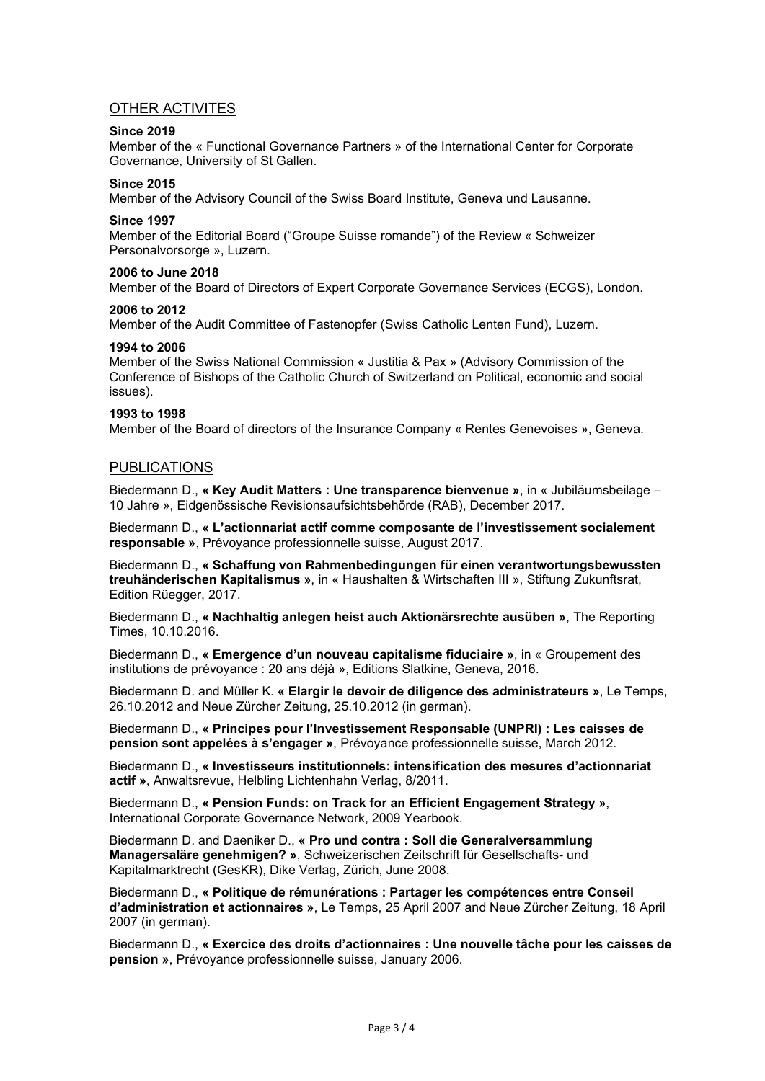# OTHER ACTIVITES

# Since 2019

Member of the « Functional Governance Partners » of the International Center for Corporate Governance, University of St Gallen.

# Since 2015

Member of the Advisory Council of the Swiss Board Institute, Geneva und Lausanne.

### Since 1997

Member of the Editorial Board ("Groupe Suisse romande") of the Review « Schweizer Personalvorsorge », Luzern.

### 2006 to June 2018

Member of the Board of Directors of Expert Corporate Governance Services (ECGS), London.

### 2006 to 2012

Member of the Audit Committee of Fastenopfer (Swiss Catholic Lenten Fund), Luzern.

# 1994 to 2006

Member of the Swiss National Commission « Justitia & Pax » (Advisory Commission of the Conference of Bishops of the Catholic Church of Switzerland on Political, economic and social issues).

### 1993 to 1998

Member of the Board of directors of the Insurance Company « Rentes Genevoises », Geneva.

# PUBLICATIONS

Biedermann D., « Key Audit Matters : Une transparence bienvenue », in « Jubiläumsbeilage – 10 Jahre », Eidgenössische Revisionsaufsichtsbehörde (RAB), December 2017.

Biedermann D., « L'actionnariat actif comme composante de l'investissement socialement responsable », Prévoyance professionnelle suisse, August 2017.

Biedermann D., « Schaffung von Rahmenbedingungen für einen verantwortungsbewussten treuhänderischen Kapitalismus », in « Haushalten & Wirtschaften III », Stiftung Zukunftsrat, Edition Rüegger, 2017.

Biedermann D., « Nachhaltig anlegen heist auch Aktionärsrechte ausüben », The Reporting Times, 10.10.2016.

Biedermann D., « Emergence d'un nouveau capitalisme fiduciaire », in « Groupement des institutions de prévoyance : 20 ans déjà », Editions Slatkine, Geneva, 2016.

Biedermann D. and Müller K. « Elargir le devoir de diligence des administrateurs », Le Temps, 26.10.2012 and Neue Zürcher Zeitung, 25.10.2012 (in german).

Biedermann D., « Principes pour l'Investissement Responsable (UNPRI) : Les caisses de pension sont appelées à s'engager », Prévoyance professionnelle suisse, March 2012.

Biedermann D., « Investisseurs institutionnels: intensification des mesures d'actionnariat actif », Anwaltsrevue, Helbling Lichtenhahn Verlag, 8/2011.

Biedermann D., « Pension Funds: on Track for an Efficient Engagement Strategy », International Corporate Governance Network, 2009 Yearbook.

Biedermann D. and Daeniker D., « Pro und contra : Soll die Generalversammlung Managersaläre genehmigen? », Schweizerischen Zeitschrift für Gesellschafts- und Kapitalmarktrecht (GesKR), Dike Verlag, Zürich, June 2008.

Biedermann D., « Politique de rémunérations : Partager les compétences entre Conseil d'administration et actionnaires », Le Temps, 25 April 2007 and Neue Zürcher Zeitung, 18 April 2007 (in german).

Biedermann D., « Exercice des droits d'actionnaires : Une nouvelle tâche pour les caisses de pension », Prévoyance professionnelle suisse, January 2006.